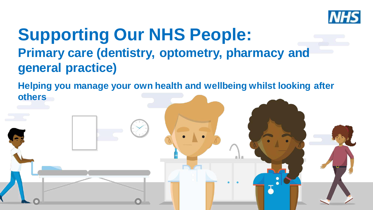

# **Supporting Our NHS People: Primary care (dentistry, optometry, pharmacy and general practice)**

**Helping you manage your own health and wellbeing whilst looking after others**

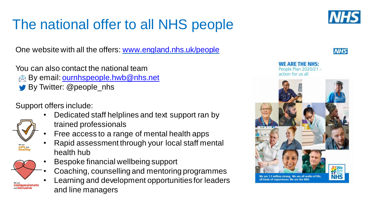# The national offer to all NHS people

One website with all the offers: [www.england.nhs.uk/people](http://www.england.nhs.uk/people)

You can also contact the national team **By email:** [ournhspeople.hwb@nhs.net](mailto:ournhspeople.hwb@nhs.net) By Twitter: @people\_nhs

Support offers include:

- Dedicated staff helplines and text support ran by trained professionals
- Free access to a range of mental health apps
- Rapid assessment through your local staff mental health hub
- Bespoke financial wellbeing support
	- Coaching, counselling and mentoring programmes
- Learning and development opportunities for leaders and line managers



*IN EE* 



NF ARF THF NHS:

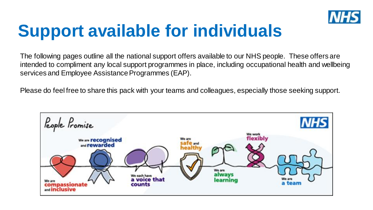

# **Support available for individuals**

The following pages outline all the national support offers available to our NHS people. These offers are intended to compliment any local support programmes in place, including occupational health and wellbeing services and Employee Assistance Programmes (EAP).

Please do feel free to share this pack with your teams and colleagues, especially those seeking support.

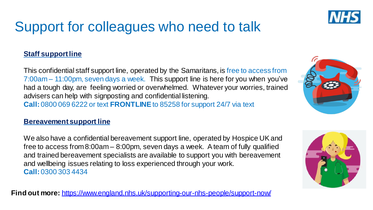

### Support for colleagues who need to talk

#### **Staff** support line

This confidential staff support line, operated by the Samaritans, is free to access from 7:00am – 11:00pm, seven days a week. This support line is here for you when you've had a tough day, are feeling worried or overwhelmed. Whatever your worries, trained advisers can help with signposting and confidential listening. **Call:** 0800 069 6222 or text **FRONTLINE**to 85258 for support 24/7 via text

#### **Bereavement support line**

We also have a confidential bereavement support line, operated by Hospice UK and free to access from 8:00am – 8:00pm, seven days a week. Ateam of fully qualified and trained bereavement specialists are available to support you with bereavement and wellbeing issues relating to loss experienced through your work. **Call:** 0300 303 4434

**Find out more:** <https://www.england.nhs.uk/supporting-our-nhs-people/support-now/>



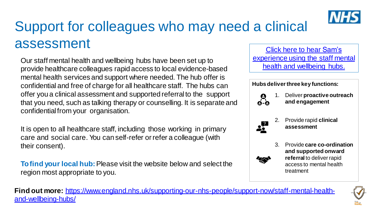

# Support for colleagues who may need a clinical assessment

Our staff mental health and wellbeing hubs have been set up to provide healthcare colleagues rapid access to local evidence-based mental health services and support where needed. The hub offer is confidential and free of charge for all healthcare staff. The hubs can offer you a clinical assessment and supported referral to the support that you need, such as talking therapy or counselling. It is separate and confidentialfrom your organisation.

It is open to all healthcare staff, including those working in primary care and social care. You can self-refer orrefer a colleague (with their consent).

**Tofind your local hub:**Please visit the website below and select the region most appropriate to you.

Click here to hear Sam's [experience using the staff mental](https://youtu.be/5_7GUlhdE88)  health and wellbeing hubs.

#### **Hubs deliver three key functions:**



1. Deliver **proactive outreach and engagement** 



2. Provide rapid **clinical assessment** 



3. Provide **care co-ordination and supported onward referral** to deliver rapid access to mental health treatment

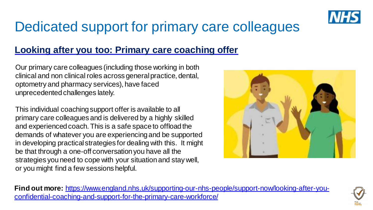

### Dedicated support for primary care colleagues

### **Looking after you too: Primary care coaching offer**

Our primary care colleagues (including those working in both clinical and non clinical roles across general practice, dental, optometry and pharmacy services), have faced unprecedented challenges lately.

This individual coaching support offer is available to all primary care colleagues and is delivered by a highly skilled and experienced coach. This is a safe space to offload the demands of whatever you are experiencing and be supported in developing practical strategies for dealing with this. It might be that through a one-off conversation you have all the strategies you need to cope with your situation and stay well, or you might find a few sessions helpful.



**Find out more:** [https://www.england.nhs.uk/supporting-our-nhs-people/support-now/looking-after-you](https://www.england.nhs.uk/supporting-our-nhs-people/support-now/looking-after-you-confidential-coaching-and-support-for-the-primary-care-workforce/)confidential-coaching-and-support-for-the-primary-care-workforce/

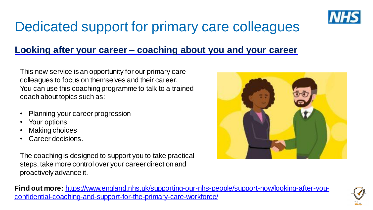

### Dedicated support for primary care colleagues

### **Looking after your career – coaching about you and your career**

This new service is an opportunity for our primary care colleagues to focus on themselves and their career. You can use this coaching programme to talk to a trained coach about topics such as:

- Planning your career progression
- Your options
- **Making choices**
- Career decisions.

The coaching is designed to support you to take practical steps, take more control over your career direction and proactively advance it.



**Find out more:** [https://www.england.nhs.uk/supporting-our-nhs-people/support-now/looking-after-you](https://www.england.nhs.uk/supporting-our-nhs-people/support-now/looking-after-you-confidential-coaching-and-support-for-the-primary-care-workforce/)confidential-coaching-and-support-for-the-primary-care-workforce/

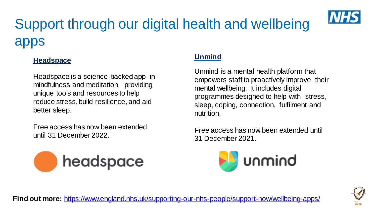# Support through our digital health and wellbeing apps



Headspace is a science-backed app in mindfulness and meditation, providing unique tools and resources to help reduce stress,build resilience, and aid better sleep.

Free access has now been extended until 31 December 2022.



#### **Unmind**

Unmind is a mental health platform that empowers staff to proactively improve their mental wellbeing. It includes digital programmes designed to help with stress, sleep, coping, connection, fulfilment and nutrition.

Free access has now been extended until 31 December 2021.





**Find out more:** https://www.england.nhs.uk/supporting-our-nhs-people/support-now/wellbeing-apps/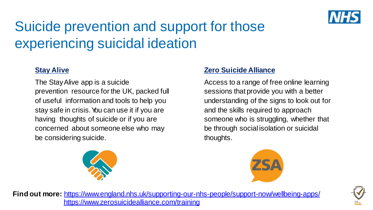

# Suicide prevention and support for those experiencing suicidal ideation

#### **Stay Alive**

The StayAlive app is a suicide prevention resource for the UK, packed full of useful information and tools to help you stay safe in crisis. You can use it if you are having thoughts of suicide or if you are concerned about someone else who may be considering suicide.



#### **Zero Suicide Alliance**

Access to a range of free online learning sessions that provide you with a better understanding of the signs to look out for and the skills required to approach someone who is struggling, whether that be through social isolation or suicidal thoughts.





**Find out more:** <https://www.england.nhs.uk/supporting-our-nhs-people/support-now/wellbeing-apps/> <https://www.zerosuicidealliance.com/training>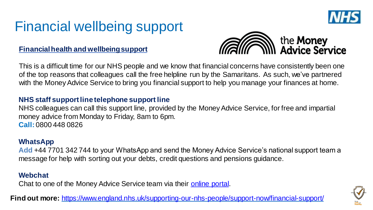

### Financial wellbeing support

#### **Financialhealth and wellbeingsupport**



This is a difficult time for our NHS people and we know that financial concerns have consistently been one of the top reasons that colleagues call the free helpline run by the Samaritans. As such, we've partnered with the Money Advice Service to bring you financial support to help you manage your finances at home.

#### **NHS staff support line telephone support line**

NHS colleagues can call this support line, provided by the Money Advice Service, for free and impartial money advice from Monday to Friday, 8am to 6pm. **Call:** 0800 448 0826

#### **WhatsApp**

**Add** +44 7701 342 744 to your WhatsApp and send the Money Advice Service's national support team a message for help with sorting out your debts, credit questions and pensions guidance.

#### **Webchat**

Chat to one of the Money Advice Service team via their **[online portal](https://webchat.moneyadviceservice.org.uk/newchat/chat.aspx?domain=people.nhs.uk)**.

**Find out more:** https://www.england.nhs.uk/supporting-our-nhs-people/support-now/financial-support/

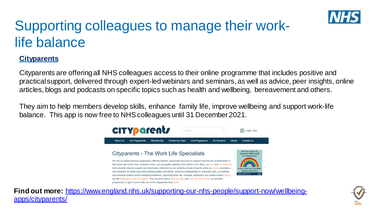

### Supporting colleagues to manage their worklife balance

#### **Cityparents**

Cityparents are offering all NHS colleagues access to their online programme that includes positive and practical support, delivered through expert-led webinars and seminars, as well as advice, peer insights, online articles, blogs and podcasts on specific topics such as health and wellbeing, bereavement and others.

They aim to help members develop skills, enhance family life, improve wellbeing and support work-life balance. This app is now free to NHS colleagues until 31 December 2021.



**Find out more:** [https://www.england.nhs.uk/supporting-our-nhs-people/support-now/wellbeing](https://www.england.nhs.uk/supporting-our-nhs-people/support-now/wellbeing-apps/cityparents/)apps/cityparents/

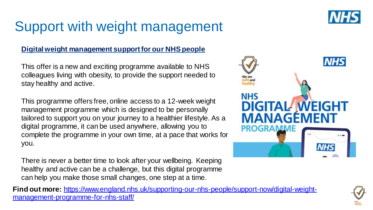### Support with weight management

#### **Digital weight management support for our NHS people**

This offer is a new and exciting programme available to NHS colleagues living with obesity, to provide the support needed to stay healthy and active.

This programme offers free, online access to a 12-week weight management programme which is designed to be personally tailored to support you on your journey to a healthier lifestyle. As a digital programme, it can be used anywhere, allowing you to complete the programme in your own time, at a pace that works for you.

There is never a better time to look after your wellbeing. Keeping healthy and active can be a challenge, but this digital programme can help you make those small changes, one step at a time.

**Find out more:** https://www.england.nhs.uk/supporting-our-nhs-people/support-now/digital-weightmanagement-programme-for-nhs-staff/





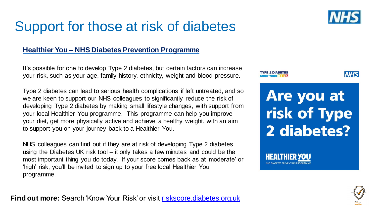### Support for those at risk of diabetes

#### **Healthier You – NHS Diabetes Prevention Programme**

It's possible for one to develop Type 2 diabetes, but certain factors can increase your risk, such as your age, family history, ethnicity, weight and blood pressure.

Type 2 diabetes can lead to serious health complications if left untreated, and so we are keen to support our NHS colleagues to significantly reduce the risk of developing Type 2 diabetes by making small lifestyle changes, with support from your local Healthier You programme. This programme can help you improve your diet, get more physically active and achieve a healthy weight, with an aim to support you on your journey back to a Healthier You.

NHS colleagues can find out if they are at risk of developing Type 2 diabetes using the Diabetes UK risk tool – it only takes a few minutes and could be the most important thing you do today. If your score comes back as at 'moderate' or 'high' risk, you'll be invited to sign up to your free local Healthier You programme.

TYPE 2 DIABETES



Are you at risk of Type 2 diabetes?



**Find out more:** Search 'Know Your Risk' or visit [riskscore.diabetes.org.uk](https://riskscore.diabetes.org.uk/start)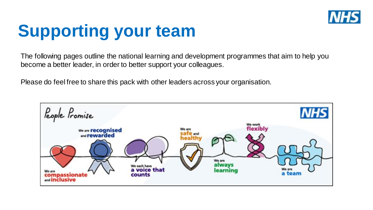

# **Supporting your team**

The following pages outline the national learning and development programmes that aim to help you become a better leader, in order to better support your colleagues.

Please do feel free to share this pack with other leaders across your organisation.

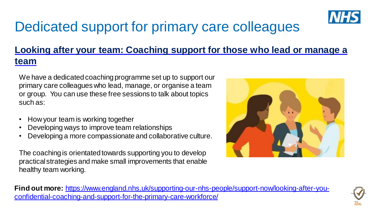

### Dedicated support for primary care colleagues

### **Looking after your team: Coaching support for those who lead or manage a team**

We have a dedicated coaching programme set up to support our primary care colleagues who lead, manage, or organise a team or group. You can use these free sessions to talk about topics such as:

- How your team is working together
- Developing ways to improve team relationships
- Developing a more compassionate and collaborative culture.

The coaching is orientated towards supporting you to develop practical strategies and make small improvements that enable healthy team working.



**Find out more:** [https://www.england.nhs.uk/supporting-our-nhs-people/support-now/looking-after-you](https://www.england.nhs.uk/supporting-our-nhs-people/support-now/looking-after-you-confidential-coaching-and-support-for-the-primary-care-workforce/)confidential-coaching-and-support-for-the-primary-care-workforce/

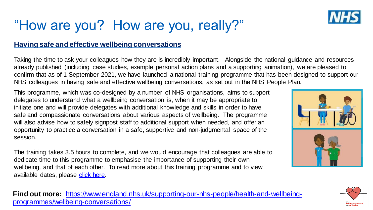### "How are you? How are you, really?"

#### **Having safe and effective wellbeing conversations**

Taking the time to ask your colleagues how they are is incredibly important. Alongside the national guidance and resources already published (including case studies, example personal action plans and a supporting animation), we are pleased to confirm that as of 1 September 2021, we have launched a national training programme that has been designed to support our NHS colleagues in having safe and effective wellbeing conversations, as set out in the NHS People Plan.

This programme, which was co-designed by a number of NHS organisations, aims to support delegates to understand what a wellbeing conversation is, when it may be appropriate to initiate one and will provide delegates with additional knowledge and skills in order to have safe and compassionate conversations about various aspects of wellbeing. The programme will also advise how to safely signpost staff to additional support when needed, and offer an opportunity to practice a conversation in a safe, supportive and non-judgmental space of the session.

The training takes 3.5 hours to complete, and we would encourage that colleagues are able to dedicate time to this programme to emphasise the importance of supporting their own wellbeing, and that of each other. To read more about this training programme and to view available dates, please [click here.](https://www.england.nhs.uk/supporting-our-nhs-people/support-now/having-safe-and-effective-wellbeing-conversations/)

programmes/wellbeing-conversations/ **Find out more:** [https://www.england.nhs.uk/supporting-our-nhs-people/health-and-wellbeing-](https://www.england.nhs.uk/supporting-our-nhs-people/health-and-wellbeing-programmes/wellbeing-conversations/)



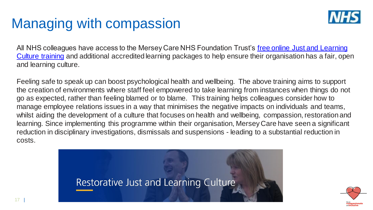### Managing with compassion



All NHS colleagues have access to the Mersey Care NHS Foundation Trust's free online Just and Learning Culture training and additional accredited learning packages to help ensure their organisation has a fair, open and learning culture.

Feeling safe to speak up can boost psychological health and wellbeing. The above training aims to support the creation of environments where staff feel empowered to take learning from instances when things do not go as expected, rather than feeling blamed or to blame. This training helps colleagues consider how to manage employee relations issues in a way that minimises the negative impacts on individuals and teams, whilst aiding the development of a culture that focuses on health and wellbeing, compassion, restoration and learning. Since implementing this programme within their organisation, Mersey Care have seen a significant reduction in disciplinary investigations, dismissals and suspensions - leading to a substantial reduction in costs.



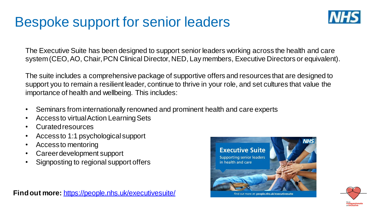### Bespoke support for senior leaders



The Executive Suite has been designed to support senior leaders working across the health and care system (CEO, AO, Chair, PCN Clinical Director, NED, Lay members, Executive Directors or equivalent).

The suite includes a comprehensive package of supportive offers and resources that are designed to support you to remain a resilient leader, continue to thrive in your role, and set cultures that value the importance of health and wellbeing. This includes:

- Seminars frominternationally renowned and prominent health and care experts
- Access to virtual Action Learning Sets
- Curatedresources
- Accessto 1:1 psychological support
- Accessto mentoring
- Careerdevelopment support
- Signposting to regional support offers





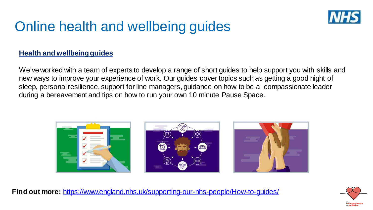

### Online health and wellbeing guides

#### **Health and wellbeingguides**

We've worked with a team of experts to develop a range of short guides to help support you with skills and new ways to improve your experience of work. Our guides cover topics such as getting a good night of sleep, personalresilience, support for line managers, guidance on how to be a compassionate leader during a bereavement and tips on how to run your own 10 minute Pause Space.



**Find out more:** <https://www.england.nhs.uk/supporting-our-nhs-people/How-to-guides/>